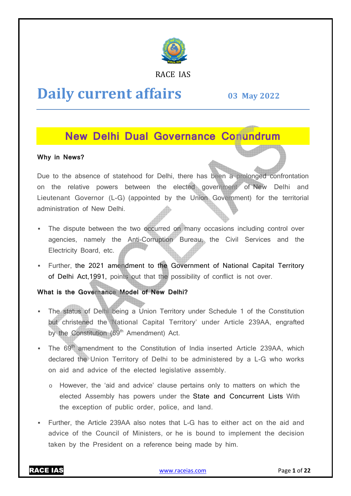

RACE IAS

# **Daily current affairs**

**03 May May 2022**

# **New Delhi Dual Governance Conundrum**

### **Why in News?**

Due to the absence of statehood for Delhi, there has been a prolonged confrontation on the relative powers between the elected government of New Delhi and Lieutenant Governor (L-G) (appointed by the Union Government) for the territorial administration of New Delhi.

- The dispute between the two occurred on many occasions including control over agencies, namely the Anti-Corruption Bureau, the Civil Services and the Electricity Board, etc.
- Further, the 2021 amendment to the Government of National Capital Territory of Delhi Act,1991, points out that the possibility of conflict is not over.

# **What is the Governance Model of New Delhi?**

- The status of Delhi being a Union Territory under Schedule 1 of the Constitution but christened the National Capital Territory' under Article 239AA, engrafted by the Constitution (69<sup>th</sup> Amendment) Act. Corruption Bureau, the Civil Services and the<br>
it to the Government of National Capital Territory<br>
that the possibility of conflict is not over.<br> **of New Delhi?**<br>
Jnion Territory under Schedule 1 of the Constitution<br>
Capit
- The 69<sup>th</sup> amendment to the Constitution of India inserted Article 239AA, which declared the Union Territory of Delhi to be administered by a L L-G who works on aid and advice of the elected legislative assembly.
	- $\circ$  However, the 'aid and advice' clause pertains only to matters on which the However, the 'aid and advice' clause pertains only to matters on which the<br>elected Assembly has powers under the State and Concurrent Lists With the exception of public order, police, and land.
- Further, the Article 239AA also notes that L L-G has to either act on the aid and advice of the Council of Ministers, or he is bound to implement the decision taken by the President on a reference being made by him.

RACE IAS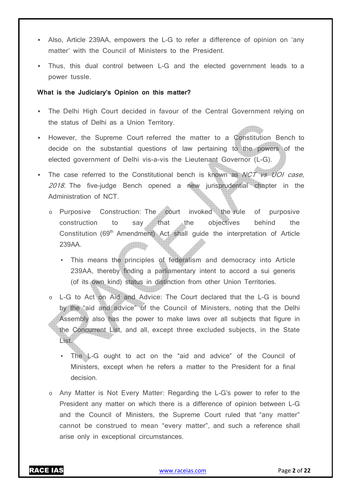- Also, Article 239AA, empowers the L-G to refer a difference of opinion on 'any matter' with the Council of Ministers to the President.
- Thus, this dual control between L-G and the elected government leads to a power tussle.

#### **What is the Judiciary's Opinion on this matter?**

- The Delhi High Court decided in favour of the Central Government relying on the status of Delhi as a Union Territory.
- However, the Supreme Court referred the matter to a Constitution Bench to decide on the substantial questions of law pertaining to the powers of the elected government of Delhi vis-a-vis the Lieutenant Governor (L-G).
- The case referred to the Constitutional bench is known as NCT vs UOI case, 2018. The five-judge Bench opened a new jurisprudential chapter in the Administration of NCT.
	- o Purposive Construction: The court invoked the rule of purposive construction to say that the objectives behind the Constitution (69<sup>th</sup> Amendment) Act shall guide the interpretation of Article 239AA.  $\blacksquare$ 
		- This means the principles of federalism and democracy into Article 239AA, thereby finding a parliamentary intent to accord a sui generis (of its own kind) status in distinction from other Union Territories.
	- o L-G to Act on Aid and Advice: The Court declared that the L-G is bound by the "aid and advice" of the Council of Ministers, noting that the Delhi Assembly also has the power to make laws over all subjects that figure in the Concurrent List, and all, except three excluded subjects, in the State List.
		- The L-G ought to act on the "aid and advice" of the Council of Ministers, except when he refers a matter to the President for a final decision.
	- o Any Matter is Not Every Matter: Regarding the L-G's power to refer to the President any matter on which there is a difference of opinion between L-G and the Council of Ministers, the Supreme Court ruled that "any matter" cannot be construed to mean "every matter", and such a reference shall arise only in exceptional circumstances.

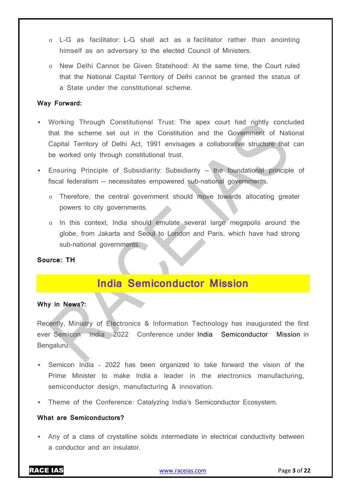- o L-G as facilitator: L-G shall act as a facilitator rather than anointing himself as an adversary to the elected Council of Ministers.
- o New Delhi Cannot be Given Statehood: At the same time, the Court ruled that the National Capital Territory of Delhi cannot be granted the status of a State under the constitutional scheme.

#### **Way Forward:**

- Working Through Constitutional Trust: The apex court had rightly concluded that the scheme set out in the Constitution and the Government of National Capital Territory of Delhi Act, 1991 envisages a collaborative structure that can be worked only through constitutional trust.
- Ensuring Principle of Subsidiarity: Subsidiarity the foundational principle of fiscal federalism — necessitates empowered sub-national governments.
	- o Therefore, the central government should move towards allocating greater powers to city governments.
	- o In this context, India should emulate several large megapolis around the globe, from Jakarta and Seoul to London and Paris, which have had strong sub-national governments.

# **Source: TH**

# **India Semiconductor Mission**

#### **Why in News?:**

Recently, Ministry of Electronics & Information Technology has inaugurated the first ever Semicon India 2022 Conference under India Semiconductor Mission in Bengaluru.

- Semicon India 2022 has been organized to take forward the vision of the Prime Minister to make India a leader in the electronics manufacturing, semiconductor design, manufacturing & innovation.
- **Theme of the Conference: Catalyzing India's Semiconductor Ecosystem.**

#### **What are Semiconductors?**

 Any of a class of crystalline solids intermediate in electrical conductivity between a conductor and an insulator.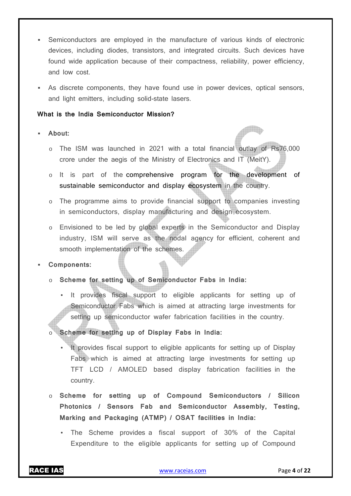- Semiconductors are employed in the manufacture of various kinds of electronic devices, including diodes, transistors, and integrated circuits. Such devices have found wide application because of their compactness, reliability, power efficiency, and low cost.
- As discrete components, they have found use in power devices, optical sensors, and light emitters, including solid-state lasers.

#### **What is the India Semiconductor Mission?**

#### **About:**

- o The ISM was launched in 2021 with a total financial outlay of Rs76,000 crore under the aegis of the Ministry of Electronics and IT (MeitY).
- o It is part of the comprehensive program for the development of sustainable semiconductor and display ecosystem in the country.
- o The programme aims to provide financial support to companies investing in semiconductors, display manufacturing and design ecosystem.
- o Envisioned to be led by global experts in the Semiconductor and Display industry, ISM will serve as the nodal agency for efficient, coherent and smooth implementation of the schemes.

#### **Components:**

- o **Scheme for setting up of Semiconductor Fabs in India:** 
	- It provides fiscal support to eligible applicants for setting up of Semiconductor Fabs which is aimed at attracting large investments for setting up semiconductor wafer fabrication facilities in the country.
- o **Scheme for setting up of Display Fabs in India:** 
	- It provides fiscal support to eligible applicants for setting up of Display Fabs which is aimed at attracting large investments for setting up TFT LCD / AMOLED based display fabrication facilities in the country.
- o **Scheme for setting up of Compound Semiconductors / Silicon Photonics / Sensors Fab and Semiconductor Assembly, Testing, Marking and Packaging (ATMP) / OSAT facilities in India:** 
	- The Scheme provides a fiscal support of 30% of the Capital Expenditure to the eligible applicants for setting up of Compound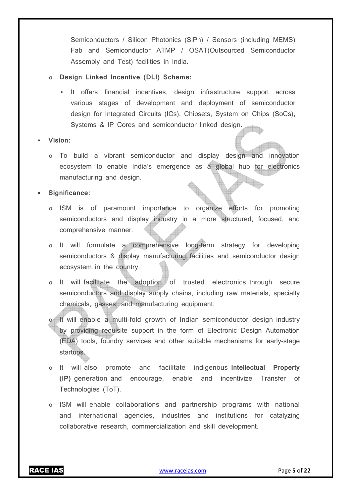Semiconductors / Silicon Photonics (SiPh) / Sensors (including MEMS) Fab and Semiconductor ATMP / OSAT(Outsourced Semiconductor Assembly and Test) facilities in India.

#### o **Design Linked Incentive (DLI) Scheme:**

It offers financial incentives, design infrastructure support across various stages of development and deployment of semiconductor design for Integrated Circuits (ICs), Chipsets, System on Chips (SoCs), Systems & IP Cores and semiconductor linked design.

#### **Vision:**

o To build a vibrant semiconductor and display design and innovation ecosystem to enable India's emergence as a global hub for electronics manufacturing and design.

#### **Significance:**

- o ISM is of paramount importance to organize efforts for promoting semiconductors and display industry in a more structured, focused, and comprehensive manner.
- o It will formulate a comprehensive long-term strategy for developing semiconductors & display manufacturing facilities and semiconductor design ecosystem in the country.
- o It will facilitate the adoption of trusted electronics through secure semiconductors and display supply chains, including raw materials, specialty chemicals, gasses, and manufacturing equipment.
- o It will enable a multi-fold growth of Indian semiconductor design industry by providing requisite support in the form of Electronic Design Automation (EDA) tools, foundry services and other suitable mechanisms for early-stage startups.
- o It will also promote and facilitate indigenous **Intellectual Property (IP)** generation and encourage, enable and incentivize Transfer of Technologies (ToT).
- o ISM will enable collaborations and partnership programs with national and international agencies, industries and institutions for catalyzing collaborative research, commercialization and skill development.

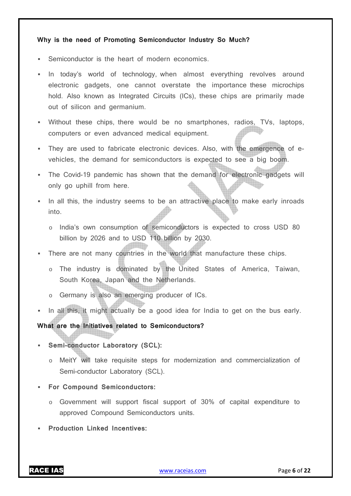#### **Why is the need of Promoting Semiconductor Industry So Much?**

- Semiconductor is the heart of modern economics.
- In today's world of technology, when almost everything revolves around electronic gadgets, one cannot overstate the importance these microchips hold. Also known as Integrated Circuits (ICs), these chips are primarily made out of silicon and germanium.
- Without these chips, there would be no smartphones, radios, TVs, laptops, computers or even advanced medical equipment.
- They are used to fabricate electronic devices. Also, with the emergence of evehicles, the demand for semiconductors is expected to see a big boom.
- The Covid-19 pandemic has shown that the demand for electronic gadgets will only go uphill from here.
- In all this, the industry seems to be an attractive place to make early inroads into.
	- o India's own consumption of semiconductors is expected to cross USD 80 billion by 2026 and to USD 110 billion by 2030.
- There are not many countries in the world that manufacture these chips.
	- o The industry is dominated by the United States of America, Taiwan, South Korea, Japan and the Netherlands.
	- o Germany is also an emerging producer of ICs.
- In all this, it might actually be a good idea for India to get on the bus early.

#### **What are the Initiatives related to Semiconductors?**

- **Semi-conductor Laboratory (SCL):** 
	- o MeitY will take requisite steps for modernization and commercialization of Semi-conductor Laboratory (SCL).
- **For Compound Semiconductors:** 
	- o Government will support fiscal support of 30% of capital expenditure to approved Compound Semiconductors units.
- **Production Linked Incentives:**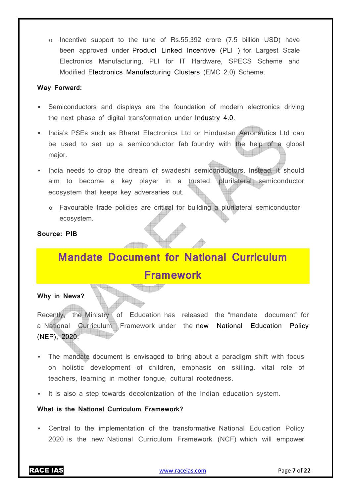o Incentive support to the tune of Rs.55,392 crore (7.5 billion USD) have been approved under Product Linked Incentive (PLI ) for Largest Scale Electronics Manufacturing, PLI for IT Hardware, SPECS Scheme and Modified Electronics Manufacturing Clusters (EMC 2.0) Scheme.

#### **Way Forward:**

- Semiconductors and displays are the foundation of modern electronics driving the next phase of digital transformation under Industry 4.0.
- India's PSEs such as Bharat Electronics Ltd or Hindustan Aeronautics Ltd can be used to set up a semiconductor fab foundry with the help of a global major.
- India needs to drop the dream of swadeshi semiconductors. Instead, it should aim to become a key player in a trusted, plurilateral semiconductor ecosystem that keeps key adversaries out.
	- o Favourable trade policies are critical for building a plurilateral semiconductor ecosystem.

### **Source: PIB**

# **Mandate Document for National Curriculum Framework**

#### **Why in News?**

Recently, the Ministry of Education has released the "mandate document" for a National Curriculum Framework under the new National Education Policy (NEP), 2020.

- The mandate document is envisaged to bring about a paradigm shift with focus on holistic development of children, emphasis on skilling, vital role of teachers, learning in mother tongue, cultural rootedness.
- It is also a step towards decolonization of the Indian education system.

### **What is the National Curriculum Framework?**

 Central to the implementation of the transformative National Education Policy 2020 is the new National Curriculum Framework (NCF) which will empower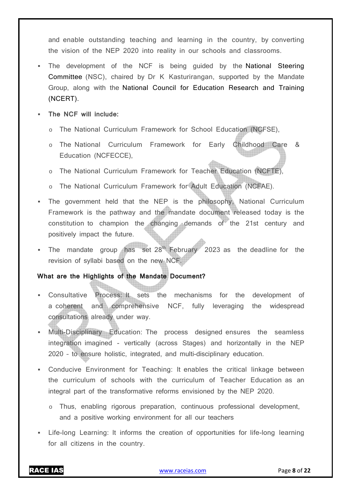and enable outstanding teaching and learning in the country, by converting the vision of the NEP 2020 into reality in our schools and classrooms.

- The development of the NCF is being guided by the National Steering Committee (NSC), chaired by Dr K Kasturirangan, supported by the Mandate Group, along with the National Council for Education Research and Training (NCERT).
- **The NCF will include:** 
	- o The National Curriculum Framework for School Education (NCFSE),
	- The National Curriculum Framework for Early Childhood Care & Education (NCFECCE),
	- o The National Curriculum Framework for Teacher Education (NCFTE),
	- o The National Curriculum Framework for Adult Education (NCFAE).
- The government held that the NEP is the philosophy, National Curriculum Framework is the pathway and the mandate document released today is the constitution to champion the changing demands of the 21st century and positively impact the future.
- The mandate group has set  $28<sup>th</sup>$  February 2023 as the deadline for the revision of syllabi based on the new NCF.

# **What are the Highlights of the Mandate Document?**

- Consultative Process: It sets the mechanisms for the development of a coherent and comprehensive NCF, fully leveraging the widespread consultations already under way.
- Multi-Disciplinary Education: The process designed ensures the seamless integration imagined - vertically (across Stages) and horizontally in the NEP 2020 – to ensure holistic, integrated, and multi-disciplinary education.
- Conducive Environment for Teaching: It enables the critical linkage between the curriculum of schools with the curriculum of Teacher Education as an integral part of the transformative reforms envisioned by the NEP 2020.
	- o Thus, enabling rigorous preparation, continuous professional development, and a positive working environment for all our teachers
- Life-long Learning: It informs the creation of opportunities for life-long learning for all citizens in the country.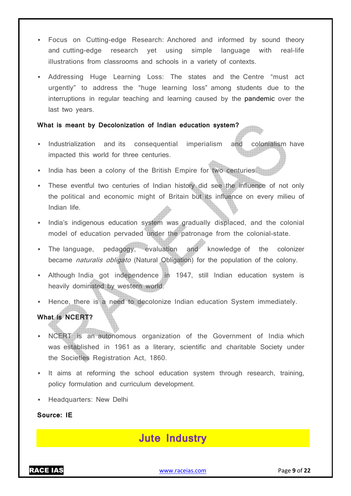- Focus on Cutting-edge Research: Anchored and informed by sound theory and cutting-edge research yet using simple language with real-life illustrations from classrooms and schools in a variety of contexts.
- Addressing Huge Learning Loss: The states and the Centre "must act urgently" to address the "huge learning loss" among students due to the interruptions in regular teaching and learning caused by the pandemic over the last two years.

#### **What is meant by Decolonization of Indian education system?**

- Industrialization and its consequential imperialism and colonialism have impacted this world for three centuries.
- India has been a colony of the British Empire for two centuries.
- These eventful two centuries of Indian history did see the influence of not only the political and economic might of Britain but its influence on every milieu of Indian life.
- India's indigenous education system was gradually displaced, and the colonial model of education pervaded under the patronage from the colonial-state.
- The language, pedagogy, evaluation and knowledge of the colonizer became naturalis obligato (Natural Obligation) for the population of the colony.
- Although India got independence in 1947, still Indian education system is heavily dominated by western world.
- Hence, there is a need to decolonize Indian education System immediately. **What is NCERT?**
- NCERT is an autonomous organization of the Government of India which was established in 1961 as a literary, scientific and charitable Society under the Societies Registration Act, 1860.
- It aims at reforming the school education system through research, training, policy formulation and curriculum development.
- **Headquarters: New Delhi**

### **Source: IE**

# **Jute Industry**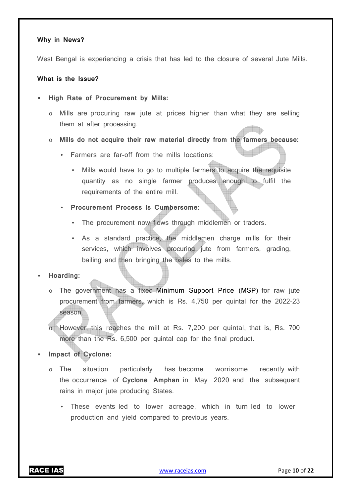#### **Why in News?**

West Bengal is experiencing a crisis that has led to the closure of several Jute Mills.

#### **What is the Issue?**

- **High Rate of Procurement by Mills:** 
	- o Mills are procuring raw jute at prices higher than what they are selling them at after processing.
	- o **Mills do not acquire their raw material directly from the farmers because:** 
		- Farmers are far-off from the mills locations:
			- Mills would have to go to multiple farmers to acquire the requisite quantity as no single farmer produces enough to fulfil the requirements of the entire mill.
		- **Procurement Process is Cumbersome:** 
			- The procurement now flows through middlemen or traders.
			- As a standard practice, the middlemen charge mills for their services, which involves procuring jute from farmers, grading, bailing and then bringing the bales to the mills.

#### **Hoarding:**

o The government has a fixed Minimum Support Price (MSP) for raw jute procurement from farmers, which is Rs. 4,750 per quintal for the 2022-23 season.

o However, this reaches the mill at Rs. 7,200 per quintal, that is, Rs. 700 more than the Rs. 6,500 per quintal cap for the final product.

- **Impact of Cyclone:** 
	- o The situation particularly has become worrisome recently with the occurrence of **Cyclone Amphan** in May 2020 and the subsequent rains in major jute producing States.
		- These events led to lower acreage, which in turn led to lower production and yield compared to previous years.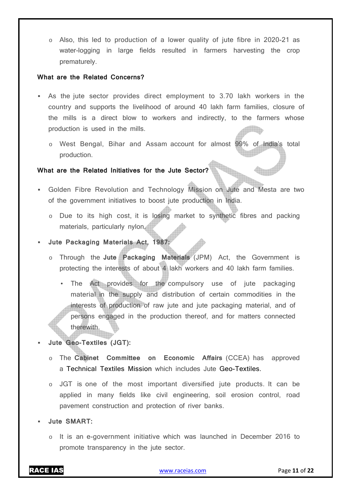o Also, this led to production of a lower quality of jute fibre in 2020-21 as water-logging in large fields resulted in farmers harvesting the crop prematurely.

#### **What are the Related Concerns?**

- As the jute sector provides direct employment to 3.70 lakh workers in the country and supports the livelihood of around 40 lakh farm families, closure of the mills is a direct blow to workers and indirectly, to the farmers whose production is used in the mills.
	- o West Bengal, Bihar and Assam account for almost 99% of India's total production.

#### **What are the Related Initiatives for the Jute Sector?**

- Golden Fibre Revolution and Technology Mission on Jute and Mesta are two of the government initiatives to boost jute production in India.
	- o Due to its high cost, it is losing market to synthetic fibres and packing materials, particularly nylon.
- **Jute Packaging Materials Act, 1987:** 
	- o Through the **Jute Packaging Materials** (JPM) Act, the Government is protecting the interests of about 4 lakh workers and 40 lakh farm families.
		- The Act provides for the compulsory use of jute packaging material in the supply and distribution of certain commodities in the interests of production of raw jute and jute packaging material, and of persons engaged in the production thereof, and for matters connected therewith.
- **Jute Geo-Textiles (JGT):** 
	- o The **Cabinet Committee on Economic Affairs** (CCEA) has approved a Technical Textiles Mission which includes Jute Geo-Textiles.
	- o JGT is one of the most important diversified jute products. It can be applied in many fields like civil engineering, soil erosion control, road pavement construction and protection of river banks.
- **Jute SMART:** 
	- o It is an e-government initiative which was launched in December 2016 to promote transparency in the jute sector.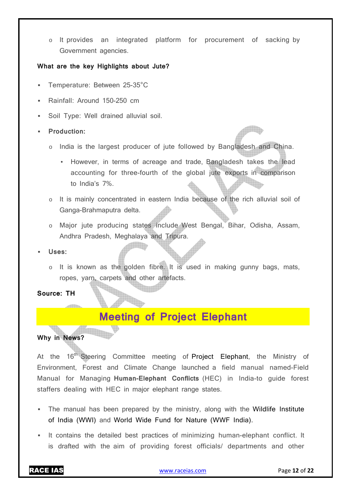o It provides an integrated platform for procurement of sacking by Government agencies.

#### **What are the key Highlights about Jute?**

- Temperature: Between 25-35°C
- Rainfall: Around 150-250 cm
- Soil Type: Well drained alluvial soil.
- **Production:** 
	- o India is the largest producer of jute followed by Bangladesh and China.
		- However, in terms of acreage and trade, Bangladesh takes the lead accounting for three-fourth of the global jute exports in comparison to India's 7%.
	- o It is mainly concentrated in eastern India because of the rich alluvial soil of Ganga-Brahmaputra delta.
	- o Major jute producing states include West Bengal, Bihar, Odisha, Assam, Andhra Pradesh, Meghalaya and Tripura.
- **Uses:** 
	- o It is known as the golden fibre. It is used in making gunny bags, mats, ropes, yarn, carpets and other artefacts.

**Source: TH** 

# **Meeting of Project Elephant**

# **Why in News?**

At the 16<sup>th</sup> Steering Committee meeting of Project Elephant, the Ministry of Environment, Forest and Climate Change launched a field manual named-Field Manual for Managing **Human-Elephant Conflicts** (HEC) in India-to guide forest staffers dealing with HEC in major elephant range states.

- The manual has been prepared by the ministry, along with the Wildlife Institute of India (WWI) and World Wide Fund for Nature (WWF India).
- It contains the detailed best practices of minimizing human-elephant conflict. It is drafted with the aim of providing forest officials/ departments and other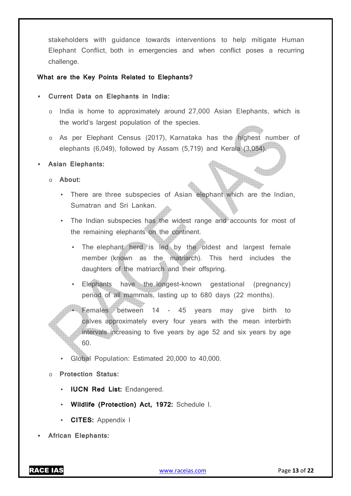stakeholders with guidance towards interventions to help mitigate Human Elephant Conflict, both in emergencies and when conflict poses a recurring challenge.

#### **What are the Key Points Related to Elephants?**

- **Current Data on Elephants in India:** 
	- o India is home to approximately around 27,000 Asian Elephants, which is the world's largest population of the species.
	- o As per Elephant Census (2017), Karnataka has the highest number of elephants (6,049), followed by Assam (5,719) and Kerala (3,054).

#### **Asian Elephants:**

- o **About:** 
	- There are three subspecies of Asian elephant which are the Indian, Sumatran and Sri Lankan.
	- The Indian subspecies has the widest range and accounts for most of the remaining elephants on the continent.
		- The elephant herd is led by the oldest and largest female member (known as the matriarch). This herd includes the daughters of the matriarch and their offspring.
		- Elephants have the longest-known gestational (pregnancy) period of all mammals, lasting up to 680 days (22 months).
			- Females between 14 45 years may give birth to calves approximately every four years with the mean interbirth intervals increasing to five years by age 52 and six years by age 60.
	- Global Population: Estimated 20,000 to 40,000.

#### o **Protection Status:**

- **IUCN Red List: Endangered.**
- **Wildlife (Protection) Act, 1972:** Schedule I.
- **CITES:** Appendix I
- **African Elephants:**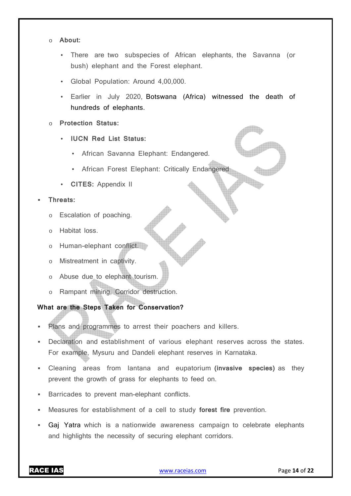#### o **About:**

- There are two subspecies of African elephants, the Savanna (or bush) elephant and the Forest elephant.
- Global Population: Around 4,00,000.
- Earlier in July 2020, Botswana (Africa) witnessed the death of hundreds of elephants.
- **Protection Status:** 
	- **IUCN Red List Status:** 
		- African Savanna Elephant: Endangered.
		- African Forest Elephant: Critically Endangered
	- **CITES:** Appendix II

### **Threats:**

- o Escalation of poaching.
- o Habitat loss.
- o Human-elephant conflict.
- o Mistreatment in captivity.
- o Abuse due to elephant tourism.
- o Rampant mining, Corridor destruction.

# **What are the Steps Taken for Conservation?**

- Plans and programmes to arrest their poachers and killers.
- Declaration and establishment of various elephant reserves across the states. For example, Mysuru and Dandeli elephant reserves in Karnataka.
- Cleaning areas from lantana and eupatorium **(invasive species)** as they prevent the growth of grass for elephants to feed on.
- Barricades to prevent man-elephant conflicts.
- Measures for establishment of a cell to study **forest fire** prevention.
- Gaj Yatra which is a nationwide awareness campaign to celebrate elephants and highlights the necessity of securing elephant corridors.

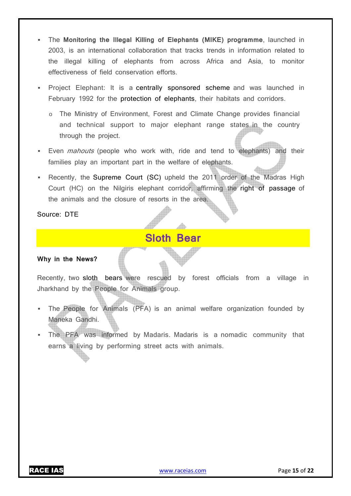- The **Monitoring the Illegal Killing of Elephants (MIKE) programme**, launched in 2003, is an international collaboration that tracks trends in information related to the illegal killing of elephants from across Africa and Asia, to monitor effectiveness of field conservation efforts.
- Project Elephant: It is a centrally sponsored scheme and was launched in February 1992 for the protection of elephants, their habitats and corridors.
	- o The Ministry of Environment, Forest and Climate Change provides financial and technical support to major elephant range states in the country through the project.
- Even *mahouts* (people who work with, ride and tend to elephants) and their families play an important part in the welfare of elephants.
- Recently, the Supreme Court (SC) upheld the 2011 order of the Madras High Court (HC) on the Nilgiris elephant corridor, affirming the right of passage of the animals and the closure of resorts in the area.

Source: DTE

# **Sloth Bear**

#### **Why in the News?**

Recently, two sloth bears were rescued by forest officials from a village in Jharkhand by the People for Animals group.

- The People for Animals (PFA) is an animal welfare organization founded by Maneka Gandhi.
- The PFA was informed by Madaris. Madaris is a nomadic community that earns a living by performing street acts with animals.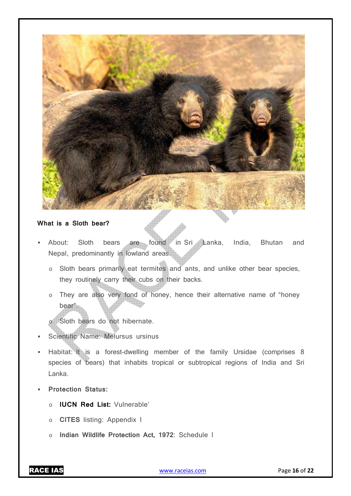

### **What is a Sloth bear?**

- About: Sloth bears are found in Sri Lanka, India, Bhutan and Nepal, predominantly in lowland areas.
	- o Sloth bears primarily eat termites and ants, and unlike other bear species, they routinely carry their cubs on their backs.
	- o They are also very fond of honey, hence their alternative name of "honey bear".
	- o Sloth bears do not hibernate.
- Scientific Name: Melursus ursinus
- Habitat: It is a forest-dwelling member of the family Ursidae (comprises 8 species of bears) that inhabits tropical or subtropical regions of India and Sri Lanka.
- **Protection Status:** 
	- o **IUCN Red List:** Vulnerable'
	- o **CITES** listing: Appendix I
	- o **Indian Wildlife Protection Act, 1972**: Schedule I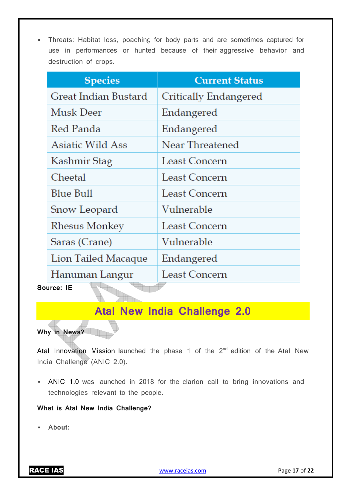Threats: Habitat loss, poaching for body parts and are sometimes captured for use in performances or hunted because of their aggressive behavior and destruction of crops.

| <b>Current Status</b> |
|-----------------------|
| Critically Endangered |
| Endangered            |
| Endangered            |
| Near Threatened       |
| Least Concern         |
| Least Concern         |
| Least Concern         |
| Vulnerable            |
| Least Concern         |
| Vulnerable            |
| Endangered            |
| Least Concern         |
|                       |

# **Atal New India Challenge 2.0**

**Why in News?** 

Atal Innovation Mission launched the phase 1 of the  $2<sup>nd</sup>$  edition of the Atal New India Challenge (ANIC 2.0).

 ANIC 1.0 was launched in 2018 for the clarion call to bring innovations and technologies relevant to the people.

# **What is Atal New India Challenge?**

**About:**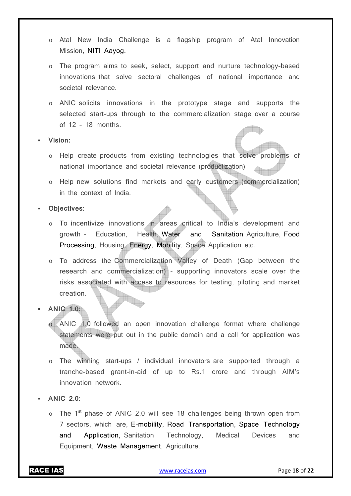- o Atal New India Challenge is a flagship program of Atal Innovation Mission, NITI Aayog.
- o The program aims to seek, select, support and nurture technology-based innovations that solve sectoral challenges of national importance and societal relevance.
- o ANIC solicits innovations in the prototype stage and supports the selected start-ups through to the commercialization stage over a course of 12 – 18 months.
- **Vision:** 
	- o Help create products from existing technologies that solve problems of national importance and societal relevance (productization)
	- o Help new solutions find markets and early customers (commercialization) in the context of India.
- **Objectives:** 
	- o To incentivize innovations in areas critical to India's development and growth – Education, Health, Water and Sanitation Agriculture, Food Processing, Housing, Energy, Mobility, Space Application etc.
	- o To address the Commercialization Valley of Death (Gap between the research and commercialization) - supporting innovators scale over the risks associated with access to resources for testing, piloting and market creation.
- **ANIC 1.0:** 
	- ANIC 1.0 followed an open innovation challenge format where challenge statements were put out in the public domain and a call for application was made.
	- o The winning start-ups / individual innovators are supported through a tranche-based grant-in-aid of up to Rs.1 crore and through AIM's innovation network.
- **ANIC 2.0:** 
	- $\circ$  The 1<sup>st</sup> phase of ANIC 2.0 will see 18 challenges being thrown open from 7 sectors, which are, E-mobility, Road Transportation, Space Technology and Application, Sanitation Technology, Medical Devices and Equipment, Waste Management, Agriculture.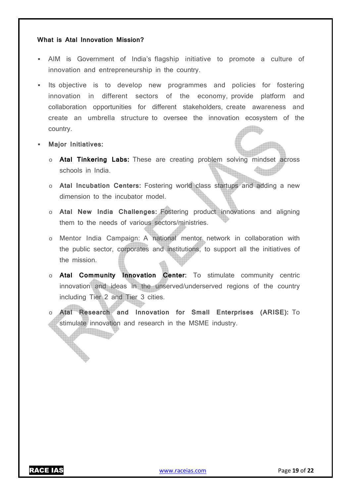#### **What is Atal Innovation Mission?**

- AIM is Government of India's flagship initiative to promote a culture of innovation and entrepreneurship in the country.
- Its objective is to develop new programmes and policies for fostering innovation in different sectors of the economy, provide platform and collaboration opportunities for different stakeholders, create awareness and create an umbrella structure to oversee the innovation ecosystem of the country.
- **Major Initiatives:**

<u> Titlin</u>

- o **Atal Tinkering Labs:** These are creating problem solving mindset across schools in India.
- o **Atal Incubation Centers:** Fostering world class startups and adding a new dimension to the incubator model.
- o **Atal New India Challenges:** Fostering product innovations and aligning them to the needs of various sectors/ministries.
- o Mentor India Campaign: A national mentor network in collaboration with the public sector, corporates and institutions, to support all the initiatives of the mission.
- o **Atal Community Innovation Center:** To stimulate community centric innovation and ideas in the unserved/underserved regions of the country including Tier 2 and Tier 3 cities.
- o **Atal Research and Innovation for Small Enterprises (ARISE):** To stimulate innovation and research in the MSME industry.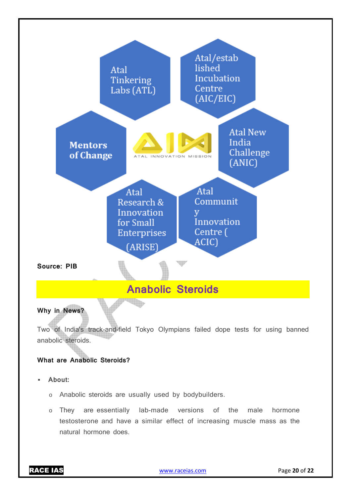

testosterone and have a similar effect of increasing muscle mass as the natural hormone does.

RACE IAS www.raceias.com Page **20** of **22**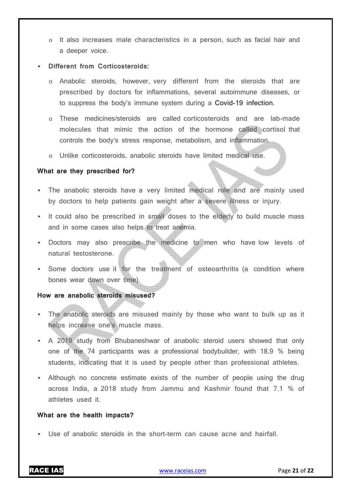It also increases male characteristics in a person, such as facial hair and a deeper voice.

#### **Different from Corticosteroids:**

- o Anabolic steroids, however, very different from the steroids that are prescribed by doctors for inflammations, several autoimmune diseases, or to suppress the body's immune system during a Covid-19 infection.
- o These medicines/steroids are called corticosteroids and are lab-made molecules that mimic the action of the hormone called cortisol that controls the body's stress response, metabolism, and inflammation.
- o Unlike corticosteroids, anabolic steroids have limited medical use.

#### **What are they prescribed for?**

- The anabolic steroids have a very limited medical role and are mainly used by doctors to help patients gain weight after a severe illness or injury.
- It could also be prescribed in small doses to the elderly to build muscle mass and in some cases also helps to treat anemia.
- Doctors may also prescribe the medicine to men who have low levels of natural testosterone.
- Some doctors use it for the treatment of osteoarthritis (a condition where bones wear down over time).

#### **How are anabolic steroids misused?**

- The anabolic steroids are misused mainly by those who want to bulk up as it helps increase one's muscle mass.
- A 2019 study from Bhubaneshwar of anabolic steroid users showed that only one of the 74 participants was a professional bodybuilder, with 18.9 % being students, indicating that it is used by people other than professional athletes.
- Although no concrete estimate exists of the number of people using the drug across India, a 2018 study from Jammu and Kashmir found that 7.1 % of athletes used it.

#### **What are the health impacts?**

Use of anabolic steroids in the short-term can cause acne and hairfall.